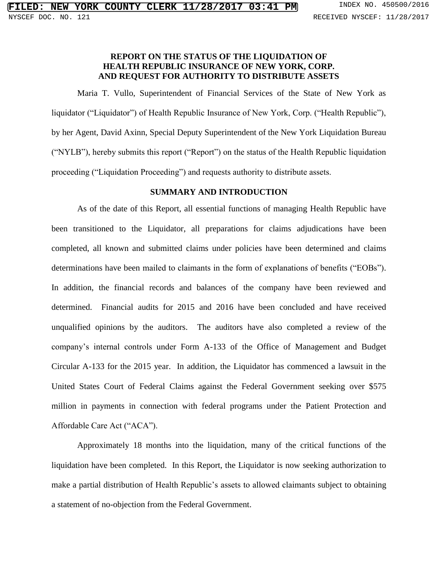# **REPORT ON THE STATUS OF THE LIQUIDATION OF HEALTH REPUBLIC INSURANCE OF NEW YORK, CORP. AND REQUEST FOR AUTHORITY TO DISTRIBUTE ASSETS**

Maria T. Vullo, Superintendent of Financial Services of the State of New York as liquidator ("Liquidator") of Health Republic Insurance of New York, Corp. ("Health Republic"), by her Agent, David Axinn, Special Deputy Superintendent of the New York Liquidation Bureau ("NYLB"), hereby submits this report ("Report") on the status of the Health Republic liquidation proceeding ("Liquidation Proceeding") and requests authority to distribute assets.

#### **SUMMARY AND INTRODUCTION**

As of the date of this Report, all essential functions of managing Health Republic have been transitioned to the Liquidator, all preparations for claims adjudications have been completed, all known and submitted claims under policies have been determined and claims determinations have been mailed to claimants in the form of explanations of benefits ("EOBs"). In addition, the financial records and balances of the company have been reviewed and determined. Financial audits for 2015 and 2016 have been concluded and have received unqualified opinions by the auditors. The auditors have also completed a review of the company's internal controls under Form A-133 of the Office of Management and Budget Circular A-133 for the 2015 year. In addition, the Liquidator has commenced a lawsuit in the United States Court of Federal Claims against the Federal Government seeking over \$575 million in payments in connection with federal programs under the Patient Protection and Affordable Care Act ("ACA").

Approximately 18 months into the liquidation, many of the critical functions of the liquidation have been completed. In this Report, the Liquidator is now seeking authorization to make a partial distribution of Health Republic's assets to allowed claimants subject to obtaining a statement of no-objection from the Federal Government.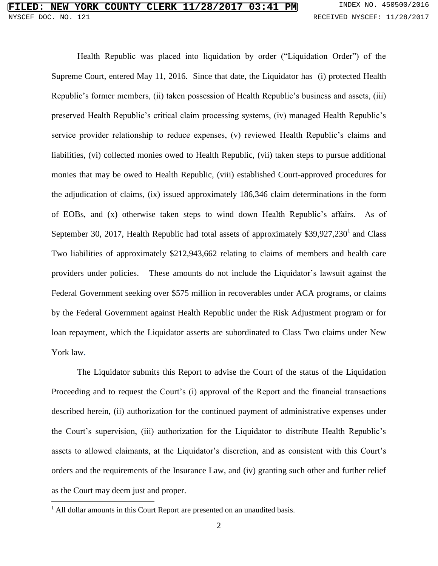Health Republic was placed into liquidation by order ("Liquidation Order") of the Supreme Court, entered May 11, 2016. Since that date, the Liquidator has (i) protected Health Republic's former members, (ii) taken possession of Health Republic's business and assets, (iii) preserved Health Republic's critical claim processing systems, (iv) managed Health Republic's service provider relationship to reduce expenses, (v) reviewed Health Republic's claims and liabilities, (vi) collected monies owed to Health Republic, (vii) taken steps to pursue additional monies that may be owed to Health Republic, (viii) established Court-approved procedures for the adjudication of claims, (ix) issued approximately 186,346 claim determinations in the form of EOBs, and (x) otherwise taken steps to wind down Health Republic's affairs. As of September 30, 2017, Health Republic had total assets of approximately \$39,927,230<sup>1</sup> and Class Two liabilities of approximately \$212,943,662 relating to claims of members and health care providers under policies. These amounts do not include the Liquidator's lawsuit against the Federal Government seeking over \$575 million in recoverables under ACA programs, or claims by the Federal Government against Health Republic under the Risk Adjustment program or for loan repayment, which the Liquidator asserts are subordinated to Class Two claims under New York law.

The Liquidator submits this Report to advise the Court of the status of the Liquidation Proceeding and to request the Court's (i) approval of the Report and the financial transactions described herein, (ii) authorization for the continued payment of administrative expenses under the Court's supervision, (iii) authorization for the Liquidator to distribute Health Republic's assets to allowed claimants, at the Liquidator's discretion, and as consistent with this Court's orders and the requirements of the Insurance Law, and (iv) granting such other and further relief as the Court may deem just and proper.

 $\overline{\phantom{a}}$ 

<sup>&</sup>lt;sup>1</sup> All dollar amounts in this Court Report are presented on an unaudited basis.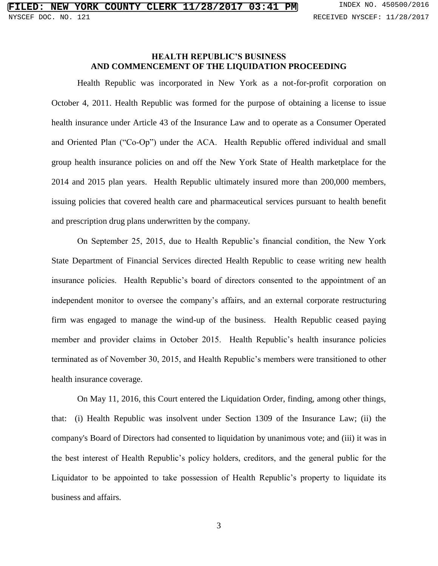# **HEALTH REPUBLIC'S BUSINESS AND COMMENCEMENT OF THE LIQUIDATION PROCEEDING**

Health Republic was incorporated in New York as a not-for-profit corporation on October 4, 2011. Health Republic was formed for the purpose of obtaining a license to issue health insurance under Article 43 of the Insurance Law and to operate as a Consumer Operated and Oriented Plan ("Co-Op") under the ACA. Health Republic offered individual and small group health insurance policies on and off the New York State of Health marketplace for the 2014 and 2015 plan years. Health Republic ultimately insured more than 200,000 members, issuing policies that covered health care and pharmaceutical services pursuant to health benefit and prescription drug plans underwritten by the company.

On September 25, 2015, due to Health Republic's financial condition, the New York State Department of Financial Services directed Health Republic to cease writing new health insurance policies. Health Republic's board of directors consented to the appointment of an independent monitor to oversee the company's affairs, and an external corporate restructuring firm was engaged to manage the wind-up of the business. Health Republic ceased paying member and provider claims in October 2015. Health Republic's health insurance policies terminated as of November 30, 2015, and Health Republic's members were transitioned to other health insurance coverage.

On May 11, 2016, this Court entered the Liquidation Order, finding, among other things, that: (i) Health Republic was insolvent under Section 1309 of the Insurance Law; (ii) the company's Board of Directors had consented to liquidation by unanimous vote; and (iii) it was in the best interest of Health Republic's policy holders, creditors, and the general public for the Liquidator to be appointed to take possession of Health Republic's property to liquidate its business and affairs.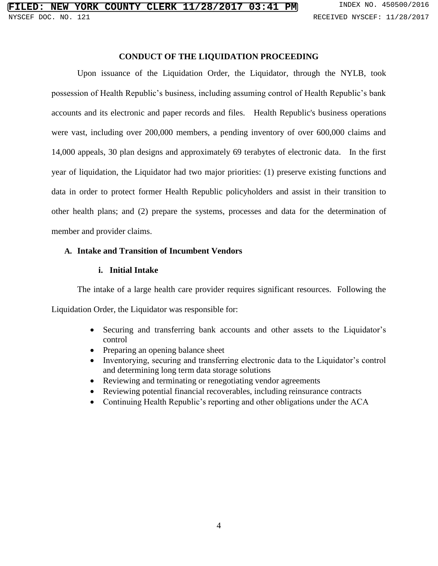# **CONDUCT OF THE LIQUIDATION PROCEEDING**

Upon issuance of the Liquidation Order, the Liquidator, through the NYLB, took possession of Health Republic's business, including assuming control of Health Republic's bank accounts and its electronic and paper records and files. Health Republic's business operations were vast, including over 200,000 members, a pending inventory of over 600,000 claims and 14,000 appeals, 30 plan designs and approximately 69 terabytes of electronic data. In the first year of liquidation, the Liquidator had two major priorities: (1) preserve existing functions and data in order to protect former Health Republic policyholders and assist in their transition to other health plans; and (2) prepare the systems, processes and data for the determination of member and provider claims.

# **A. Intake and Transition of Incumbent Vendors**

# **i. Initial Intake**

The intake of a large health care provider requires significant resources. Following the Liquidation Order, the Liquidator was responsible for:

- Securing and transferring bank accounts and other assets to the Liquidator's control
- Preparing an opening balance sheet
- Inventorying, securing and transferring electronic data to the Liquidator's control and determining long term data storage solutions
- Reviewing and terminating or renegotiating vendor agreements
- Reviewing potential financial recoverables, including reinsurance contracts
- Continuing Health Republic's reporting and other obligations under the ACA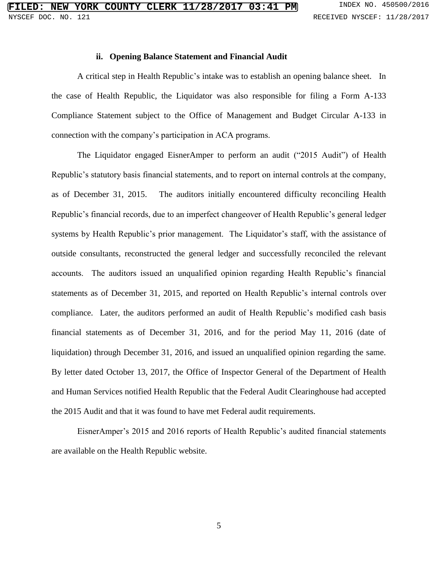#### **ii. Opening Balance Statement and Financial Audit**

A critical step in Health Republic's intake was to establish an opening balance sheet. In the case of Health Republic, the Liquidator was also responsible for filing a Form A-133 Compliance Statement subject to the Office of Management and Budget Circular A-133 in connection with the company's participation in ACA programs.

The Liquidator engaged EisnerAmper to perform an audit ("2015 Audit") of Health Republic's statutory basis financial statements, and to report on internal controls at the company, as of December 31, 2015. The auditors initially encountered difficulty reconciling Health Republic's financial records, due to an imperfect changeover of Health Republic's general ledger systems by Health Republic's prior management. The Liquidator's staff, with the assistance of outside consultants, reconstructed the general ledger and successfully reconciled the relevant accounts. The auditors issued an unqualified opinion regarding Health Republic's financial statements as of December 31, 2015, and reported on Health Republic's internal controls over compliance. Later, the auditors performed an audit of Health Republic's modified cash basis financial statements as of December 31, 2016, and for the period May 11, 2016 (date of liquidation) through December 31, 2016, and issued an unqualified opinion regarding the same. By letter dated October 13, 2017, the Office of Inspector General of the Department of Health and Human Services notified Health Republic that the Federal Audit Clearinghouse had accepted the 2015 Audit and that it was found to have met Federal audit requirements.

EisnerAmper's 2015 and 2016 reports of Health Republic's audited financial statements are available on the Health Republic website.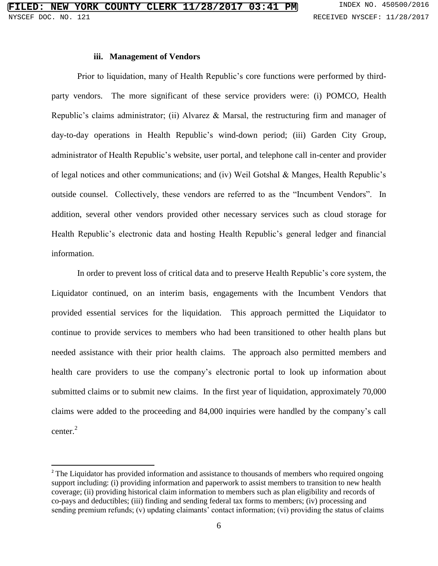#### **iii. Management of Vendors**

Prior to liquidation, many of Health Republic's core functions were performed by thirdparty vendors. The more significant of these service providers were: (i) POMCO, Health Republic's claims administrator; (ii) Alvarez & Marsal, the restructuring firm and manager of day-to-day operations in Health Republic's wind-down period; (iii) Garden City Group, administrator of Health Republic's website, user portal, and telephone call in-center and provider of legal notices and other communications; and (iv) Weil Gotshal & Manges, Health Republic's outside counsel. Collectively, these vendors are referred to as the "Incumbent Vendors". In addition, several other vendors provided other necessary services such as cloud storage for Health Republic's electronic data and hosting Health Republic's general ledger and financial information.

In order to prevent loss of critical data and to preserve Health Republic's core system, the Liquidator continued, on an interim basis, engagements with the Incumbent Vendors that provided essential services for the liquidation. This approach permitted the Liquidator to continue to provide services to members who had been transitioned to other health plans but needed assistance with their prior health claims. The approach also permitted members and health care providers to use the company's electronic portal to look up information about submitted claims or to submit new claims. In the first year of liquidation, approximately 70,000 claims were added to the proceeding and 84,000 inquiries were handled by the company's call center.<sup>2</sup>

 $\overline{a}$ 

<sup>&</sup>lt;sup>2</sup> The Liquidator has provided information and assistance to thousands of members who required ongoing support including: (i) providing information and paperwork to assist members to transition to new health coverage; (ii) providing historical claim information to members such as plan eligibility and records of co-pays and deductibles; (iii) finding and sending federal tax forms to members; (iv) processing and sending premium refunds; (v) updating claimants' contact information; (vi) providing the status of claims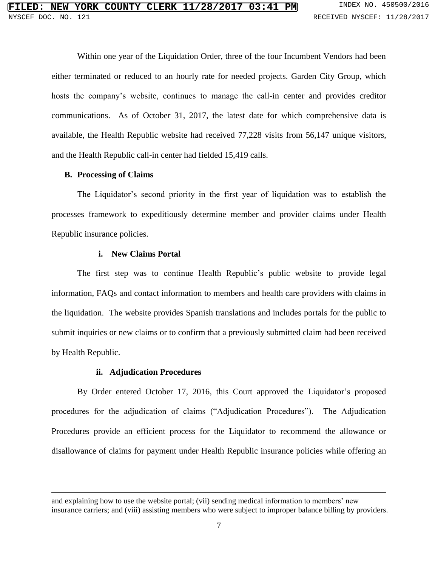Within one year of the Liquidation Order, three of the four Incumbent Vendors had been either terminated or reduced to an hourly rate for needed projects. Garden City Group, which hosts the company's website, continues to manage the call-in center and provides creditor communications. As of October 31, 2017, the latest date for which comprehensive data is available, the Health Republic website had received 77,228 visits from 56,147 unique visitors, and the Health Republic call-in center had fielded 15,419 calls.

# **B. Processing of Claims**

 $\overline{\phantom{a}}$ 

The Liquidator's second priority in the first year of liquidation was to establish the processes framework to expeditiously determine member and provider claims under Health Republic insurance policies.

# **i. New Claims Portal**

The first step was to continue Health Republic's public website to provide legal information, FAQs and contact information to members and health care providers with claims in the liquidation. The website provides Spanish translations and includes portals for the public to submit inquiries or new claims or to confirm that a previously submitted claim had been received by Health Republic.

# **ii. Adjudication Procedures**

By Order entered October 17, 2016, this Court approved the Liquidator's proposed procedures for the adjudication of claims ("Adjudication Procedures"). The Adjudication Procedures provide an efficient process for the Liquidator to recommend the allowance or disallowance of claims for payment under Health Republic insurance policies while offering an

and explaining how to use the website portal; (vii) sending medical information to members' new insurance carriers; and (viii) assisting members who were subject to improper balance billing by providers.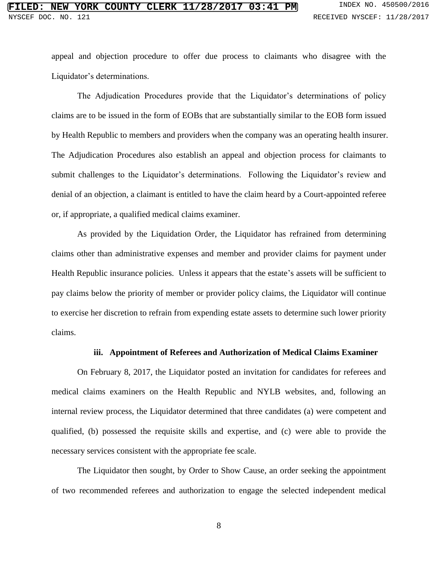appeal and objection procedure to offer due process to claimants who disagree with the Liquidator's determinations.

The Adjudication Procedures provide that the Liquidator's determinations of policy claims are to be issued in the form of EOBs that are substantially similar to the EOB form issued by Health Republic to members and providers when the company was an operating health insurer. The Adjudication Procedures also establish an appeal and objection process for claimants to submit challenges to the Liquidator's determinations. Following the Liquidator's review and denial of an objection, a claimant is entitled to have the claim heard by a Court-appointed referee or, if appropriate, a qualified medical claims examiner.

As provided by the Liquidation Order, the Liquidator has refrained from determining claims other than administrative expenses and member and provider claims for payment under Health Republic insurance policies. Unless it appears that the estate's assets will be sufficient to pay claims below the priority of member or provider policy claims, the Liquidator will continue to exercise her discretion to refrain from expending estate assets to determine such lower priority claims.

#### **iii. Appointment of Referees and Authorization of Medical Claims Examiner**

On February 8, 2017, the Liquidator posted an invitation for candidates for referees and medical claims examiners on the Health Republic and NYLB websites, and, following an internal review process, the Liquidator determined that three candidates (a) were competent and qualified, (b) possessed the requisite skills and expertise, and (c) were able to provide the necessary services consistent with the appropriate fee scale.

The Liquidator then sought, by Order to Show Cause, an order seeking the appointment of two recommended referees and authorization to engage the selected independent medical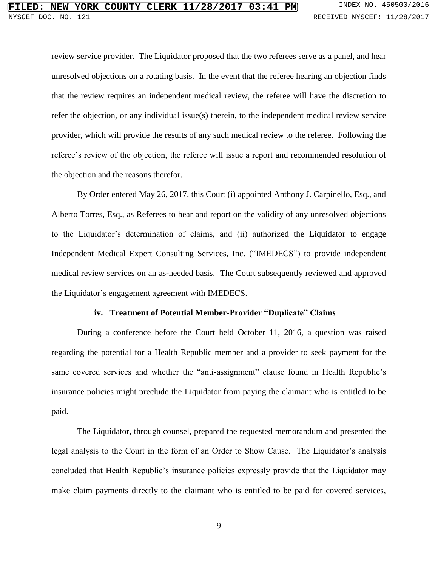review service provider. The Liquidator proposed that the two referees serve as a panel, and hear unresolved objections on a rotating basis. In the event that the referee hearing an objection finds that the review requires an independent medical review, the referee will have the discretion to refer the objection, or any individual issue(s) therein, to the independent medical review service provider, which will provide the results of any such medical review to the referee. Following the referee's review of the objection, the referee will issue a report and recommended resolution of the objection and the reasons therefor.

By Order entered May 26, 2017, this Court (i) appointed Anthony J. Carpinello, Esq., and Alberto Torres, Esq., as Referees to hear and report on the validity of any unresolved objections to the Liquidator's determination of claims, and (ii) authorized the Liquidator to engage Independent Medical Expert Consulting Services, Inc. ("IMEDECS") to provide independent medical review services on an as-needed basis. The Court subsequently reviewed and approved the Liquidator's engagement agreement with IMEDECS.

#### **iv. Treatment of Potential Member-Provider "Duplicate" Claims**

During a conference before the Court held October 11, 2016, a question was raised regarding the potential for a Health Republic member and a provider to seek payment for the same covered services and whether the "anti-assignment" clause found in Health Republic's insurance policies might preclude the Liquidator from paying the claimant who is entitled to be paid.

The Liquidator, through counsel, prepared the requested memorandum and presented the legal analysis to the Court in the form of an Order to Show Cause. The Liquidator's analysis concluded that Health Republic's insurance policies expressly provide that the Liquidator may make claim payments directly to the claimant who is entitled to be paid for covered services,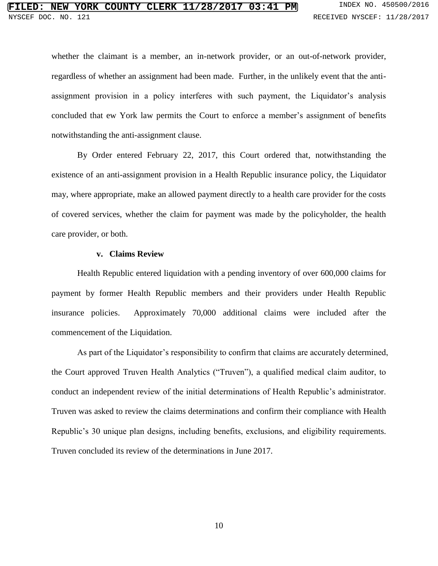whether the claimant is a member, an in-network provider, or an out-of-network provider, regardless of whether an assignment had been made. Further, in the unlikely event that the antiassignment provision in a policy interferes with such payment, the Liquidator's analysis concluded that ew York law permits the Court to enforce a member's assignment of benefits notwithstanding the anti-assignment clause.

By Order entered February 22, 2017, this Court ordered that, notwithstanding the existence of an anti-assignment provision in a Health Republic insurance policy, the Liquidator may, where appropriate, make an allowed payment directly to a health care provider for the costs of covered services, whether the claim for payment was made by the policyholder, the health care provider, or both.

#### **v. Claims Review**

Health Republic entered liquidation with a pending inventory of over 600,000 claims for payment by former Health Republic members and their providers under Health Republic insurance policies. Approximately 70,000 additional claims were included after the commencement of the Liquidation.

As part of the Liquidator's responsibility to confirm that claims are accurately determined, the Court approved Truven Health Analytics ("Truven"), a qualified medical claim auditor, to conduct an independent review of the initial determinations of Health Republic's administrator. Truven was asked to review the claims determinations and confirm their compliance with Health Republic's 30 unique plan designs, including benefits, exclusions, and eligibility requirements. Truven concluded its review of the determinations in June 2017.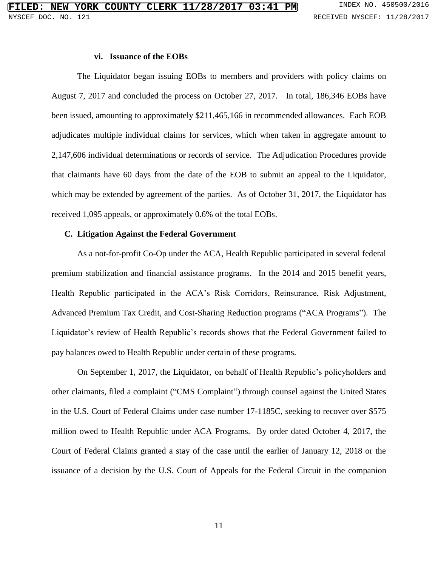#### **vi. Issuance of the EOBs**

The Liquidator began issuing EOBs to members and providers with policy claims on August 7, 2017 and concluded the process on October 27, 2017. In total, 186,346 EOBs have been issued, amounting to approximately \$211,465,166 in recommended allowances. Each EOB adjudicates multiple individual claims for services, which when taken in aggregate amount to 2,147,606 individual determinations or records of service. The Adjudication Procedures provide that claimants have 60 days from the date of the EOB to submit an appeal to the Liquidator, which may be extended by agreement of the parties. As of October 31, 2017, the Liquidator has received 1,095 appeals, or approximately 0.6% of the total EOBs.

#### **C. Litigation Against the Federal Government**

As a not-for-profit Co-Op under the ACA, Health Republic participated in several federal premium stabilization and financial assistance programs. In the 2014 and 2015 benefit years, Health Republic participated in the ACA's Risk Corridors, Reinsurance, Risk Adjustment, Advanced Premium Tax Credit, and Cost-Sharing Reduction programs ("ACA Programs"). The Liquidator's review of Health Republic's records shows that the Federal Government failed to pay balances owed to Health Republic under certain of these programs.

On September 1, 2017, the Liquidator, on behalf of Health Republic's policyholders and other claimants, filed a complaint ("CMS Complaint") through counsel against the United States in the U.S. Court of Federal Claims under case number 17-1185C, seeking to recover over \$575 million owed to Health Republic under ACA Programs. By order dated October 4, 2017, the Court of Federal Claims granted a stay of the case until the earlier of January 12, 2018 or the issuance of a decision by the U.S. Court of Appeals for the Federal Circuit in the companion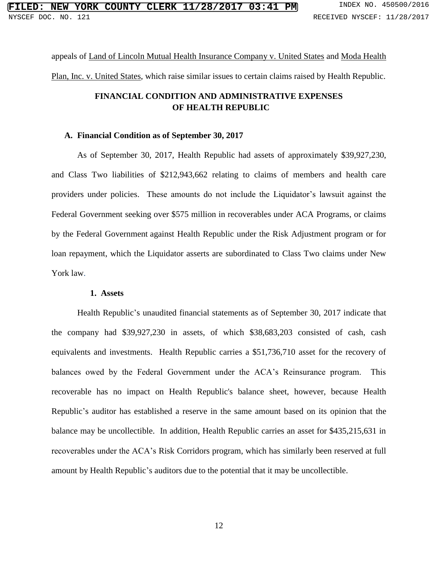appeals of Land of Lincoln Mutual Health Insurance Company v. United States and Moda Health Plan, Inc. v. United States, which raise similar issues to certain claims raised by Health Republic.

# **FINANCIAL CONDITION AND ADMINISTRATIVE EXPENSES OF HEALTH REPUBLIC**

# **A. Financial Condition as of September 30, 2017**

As of September 30, 2017, Health Republic had assets of approximately \$39,927,230, and Class Two liabilities of \$212,943,662 relating to claims of members and health care providers under policies. These amounts do not include the Liquidator's lawsuit against the Federal Government seeking over \$575 million in recoverables under ACA Programs, or claims by the Federal Government against Health Republic under the Risk Adjustment program or for loan repayment, which the Liquidator asserts are subordinated to Class Two claims under New York law.

#### **1. Assets**

Health Republic's unaudited financial statements as of September 30, 2017 indicate that the company had \$39,927,230 in assets, of which \$38,683,203 consisted of cash, cash equivalents and investments. Health Republic carries a \$51,736,710 asset for the recovery of balances owed by the Federal Government under the ACA's Reinsurance program. This recoverable has no impact on Health Republic's balance sheet, however, because Health Republic's auditor has established a reserve in the same amount based on its opinion that the balance may be uncollectible. In addition, Health Republic carries an asset for \$435,215,631 in recoverables under the ACA's Risk Corridors program, which has similarly been reserved at full amount by Health Republic's auditors due to the potential that it may be uncollectible.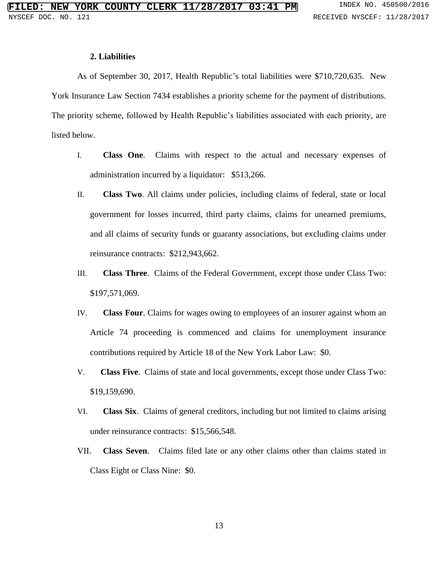#### **2. Liabilities**

As of September 30, 2017, Health Republic's total liabilities were \$710,720,635. New York Insurance Law Section 7434 establishes a priority scheme for the payment of distributions. The priority scheme, followed by Health Republic's liabilities associated with each priority, are listed below.

- I. **Class One**. Claims with respect to the actual and necessary expenses of administration incurred by a liquidator: \$513,266.
- II. **Class Two**. All claims under policies, including claims of federal, state or local government for losses incurred, third party claims, claims for unearned premiums, and all claims of security funds or guaranty associations, but excluding claims under reinsurance contracts: \$212,943,662.
- III. **Class Three**. Claims of the Federal Government, except those under Class Two: \$197,571,069.
- IV. **Class Four**. Claims for wages owing to employees of an insurer against whom an Article 74 proceeding is commenced and claims for unemployment insurance contributions required by Article 18 of the New York Labor Law: \$0.
- V. **Class Five**. Claims of state and local governments, except those under Class Two: \$19,159,690.
- VI. **Class Six**. Claims of general creditors, including but not limited to claims arising under reinsurance contracts: \$15,566,548.
- VII. **Class Seven**. Claims filed late or any other claims other than claims stated in Class Eight or Class Nine: \$0.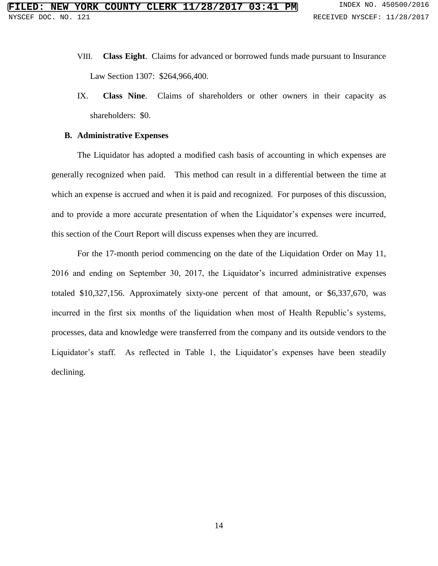- VIII. **Class Eight**. Claims for advanced or borrowed funds made pursuant to Insurance Law Section 1307: \$264,966,400.
- IX. **Class Nine**. Claims of shareholders or other owners in their capacity as shareholders: \$0.

#### **B. Administrative Expenses**

The Liquidator has adopted a modified cash basis of accounting in which expenses are generally recognized when paid. This method can result in a differential between the time at which an expense is accrued and when it is paid and recognized. For purposes of this discussion, and to provide a more accurate presentation of when the Liquidator's expenses were incurred, this section of the Court Report will discuss expenses when they are incurred.

For the 17-month period commencing on the date of the Liquidation Order on May 11, 2016 and ending on September 30, 2017, the Liquidator's incurred administrative expenses totaled \$10,327,156. Approximately sixty-one percent of that amount, or \$6,337,670, was incurred in the first six months of the liquidation when most of Health Republic's systems, processes, data and knowledge were transferred from the company and its outside vendors to the Liquidator's staff. As reflected in Table 1, the Liquidator's expenses have been steadily declining.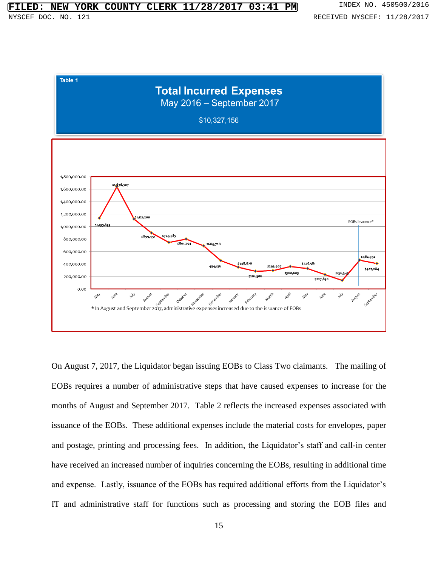

On August 7, 2017, the Liquidator began issuing EOBs to Class Two claimants. The mailing of EOBs requires a number of administrative steps that have caused expenses to increase for the months of August and September 2017. Table 2 reflects the increased expenses associated with issuance of the EOBs. These additional expenses include the material costs for envelopes, paper and postage, printing and processing fees. In addition, the Liquidator's staff and call-in center have received an increased number of inquiries concerning the EOBs, resulting in additional time and expense. Lastly, issuance of the EOBs has required additional efforts from the Liquidator's IT and administrative staff for functions such as processing and storing the EOB files and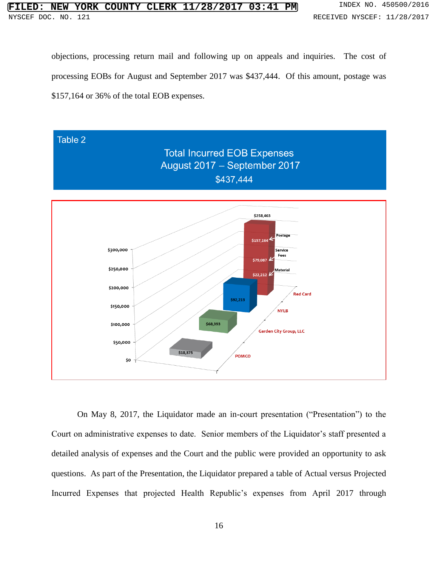objections, processing return mail and following up on appeals and inquiries. The cost of processing EOBs for August and September 2017 was \$437,444. Of this amount, postage was \$157,164 or 36% of the total EOB expenses.



On May 8, 2017, the Liquidator made an in-court presentation ("Presentation") to the Court on administrative expenses to date. Senior members of the Liquidator's staff presented a detailed analysis of expenses and the Court and the public were provided an opportunity to ask questions. As part of the Presentation, the Liquidator prepared a table of Actual versus Projected Incurred Expenses that projected Health Republic's expenses from April 2017 through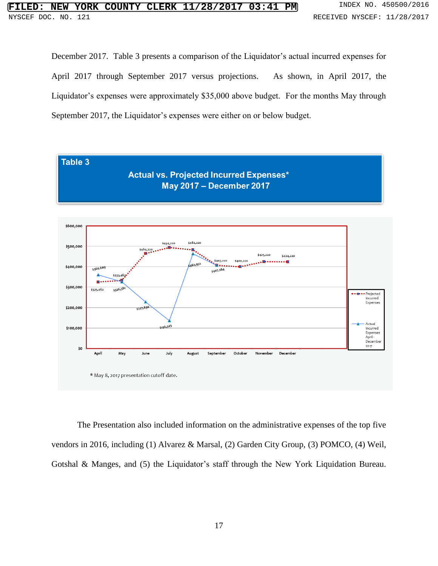December 2017. Table 3 presents a comparison of the Liquidator's actual incurred expenses for April 2017 through September 2017 versus projections. As shown, in April 2017, the Liquidator's expenses were approximately \$35,000 above budget. For the months May through September 2017, the Liquidator's expenses were either on or below budget.



The Presentation also included information on the administrative expenses of the top five vendors in 2016, including (1) Alvarez & Marsal, (2) Garden City Group, (3) POMCO, (4) Weil, Gotshal & Manges, and (5) the Liquidator's staff through the New York Liquidation Bureau.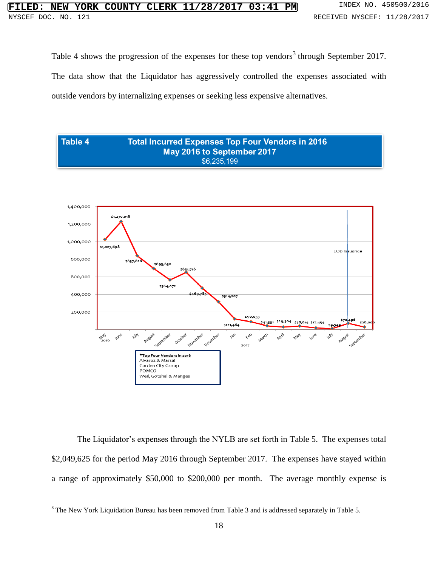Table 4 shows the progression of the expenses for these top vendors<sup>3</sup> through September 2017. The data show that the Liquidator has aggressively controlled the expenses associated with outside vendors by internalizing expenses or seeking less expensive alternatives.



The Liquidator's expenses through the NYLB are set forth in Table 5. The expenses total \$2,049,625 for the period May 2016 through September 2017. The expenses have stayed within a range of approximately \$50,000 to \$200,000 per month. The average monthly expense is

 $\overline{\phantom{a}}$ 

<sup>&</sup>lt;sup>3</sup> The New York Liquidation Bureau has been removed from Table 3 and is addressed separately in Table 5.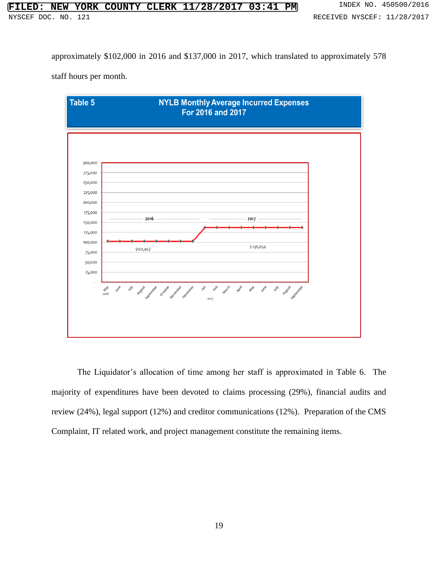approximately \$102,000 in 2016 and \$137,000 in 2017, which translated to approximately 578

staff hours per month.



The Liquidator's allocation of time among her staff is approximated in Table 6. The majority of expenditures have been devoted to claims processing (29%), financial audits and review (24%), legal support (12%) and creditor communications (12%). Preparation of the CMS Complaint, IT related work, and project management constitute the remaining items.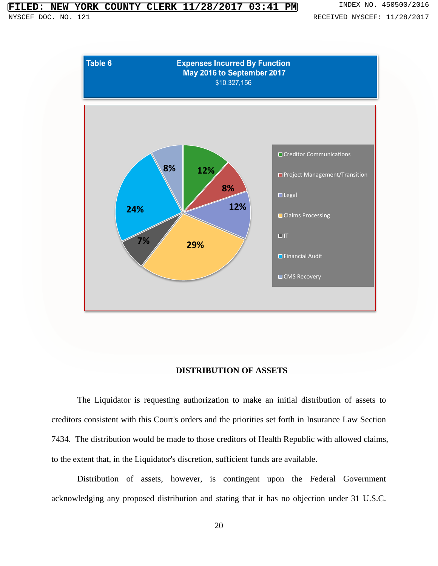# **FILED: ORK COUNTY CLERK 11/28/2017 03:41 PM** INDEX NO. 450500/2016



# **DISTRIBUTION OF ASSETS**

The Liquidator is requesting authorization to make an initial distribution of assets to creditors consistent with this Court's orders and the priorities set forth in Insurance Law Section 7434. The distribution would be made to those creditors of Health Republic with allowed claims, to the extent that, in the Liquidator's discretion, sufficient funds are available.

Distribution of assets, however, is contingent upon the Federal Government acknowledging any proposed distribution and stating that it has no objection under 31 U.S.C.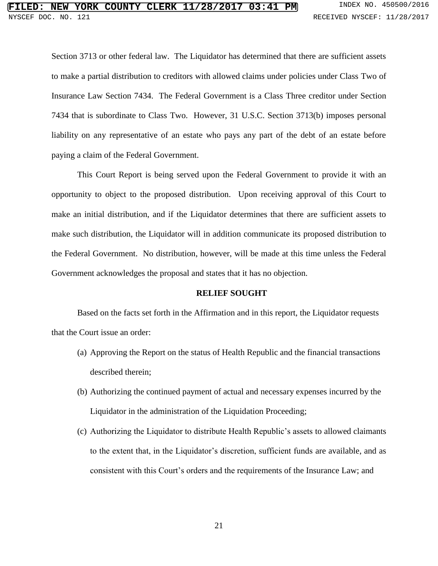Section 3713 or other federal law. The Liquidator has determined that there are sufficient assets to make a partial distribution to creditors with allowed claims under policies under Class Two of Insurance Law Section 7434. The Federal Government is a Class Three creditor under Section 7434 that is subordinate to Class Two. However, 31 U.S.C. Section 3713(b) imposes personal liability on any representative of an estate who pays any part of the debt of an estate before paying a claim of the Federal Government.

This Court Report is being served upon the Federal Government to provide it with an opportunity to object to the proposed distribution. Upon receiving approval of this Court to make an initial distribution, and if the Liquidator determines that there are sufficient assets to make such distribution, the Liquidator will in addition communicate its proposed distribution to the Federal Government. No distribution, however, will be made at this time unless the Federal Government acknowledges the proposal and states that it has no objection.

# **RELIEF SOUGHT**

Based on the facts set forth in the Affirmation and in this report, the Liquidator requests that the Court issue an order:

- (a) Approving the Report on the status of Health Republic and the financial transactions described therein;
- (b) Authorizing the continued payment of actual and necessary expenses incurred by the Liquidator in the administration of the Liquidation Proceeding;
- (c) Authorizing the Liquidator to distribute Health Republic's assets to allowed claimants to the extent that, in the Liquidator's discretion, sufficient funds are available, and as consistent with this Court's orders and the requirements of the Insurance Law; and